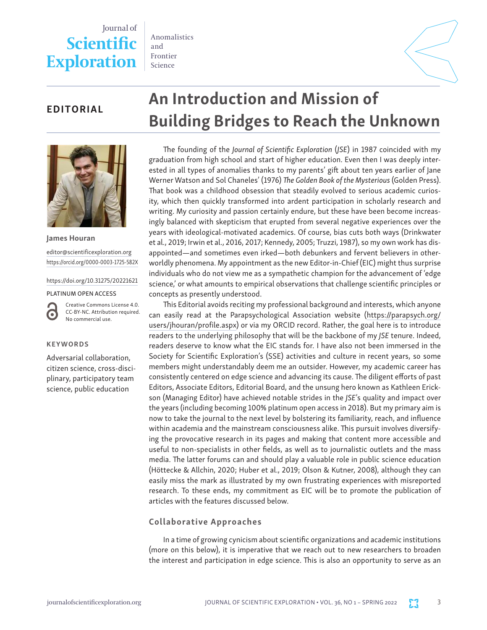## Journal of **Scientific Exploration**

Anomalistics and Frontier Science



### EDITORIAL



James Houran [editor@scientificexploration.org](mailto:editor@scientificexploration.org) <https://orcid.org/0000-0003-1725-582X>

[https://doi.org/10.31275/20221621](https://doi.org/10.31275/20201971)

#### PLATINUM OPEN ACCESS

Creative Commons License 4.0. CC-BY-NC. Attribution required. No commercial use.

#### KEYWORDS

G

Adversarial collaboration, citizen science, cross-disciplinary, participatory team science, public education

# An Introduction and Mission of Building Bridges to Reach the Unknown

The founding of the *Journal of Scientific Exploration* (*JSE*) in 1987 coincided with my graduation from high school and start of higher education. Even then I was deeply interested in all types of anomalies thanks to my parents' gift about ten years earlier of Jane Werner Watson and Sol Chaneles' (1976) *The Golden Book of the Mysterious* (Golden Press). That book was a childhood obsession that steadily evolved to serious academic curiosity, which then quickly transformed into ardent participation in scholarly research and writing. My curiosity and passion certainly endure, but these have been become increasingly balanced with skepticism that erupted from several negative experiences over the years with ideological-motivated academics. Of course, bias cuts both ways (Drinkwater et al., 2019; Irwin et al., 2016, 2017; Kennedy, 2005; Truzzi, 1987), so my own work has disappointed—and sometimes even irked—both debunkers and fervent believers in otherworldly phenomena. My appointment as the new Editor-in-Chief (EIC) might thus surprise individuals who do not view me as a sympathetic champion for the advancement of 'edge science,' or what amounts to empirical observations that challenge scientific principles or concepts as presently understood.

This Editorial avoids reciting my professional background and interests, which anyone can easily read at the Parapsychological Association website [\(https://parapsych.org/](https://parapsych.org/users/jhouran/profile.aspx) [users/jhouran/profile.aspx](https://parapsych.org/users/jhouran/profile.aspx)) or via my ORCID record. Rather, the goal here is to introduce readers to the underlying philosophy that will be the backbone of my *JSE* tenure. Indeed, readers deserve to know what the EIC stands for. I have also not been immersed in the Society for Scientific Exploration's (SSE) activities and culture in recent years, so some members might understandably deem me an outsider. However, my academic career has consistently centered on edge science and advancing its cause. The diligent efforts of past Editors, Associate Editors, Editorial Board, and the unsung hero known as Kathleen Erickson (Managing Editor) have achieved notable strides in the *JSE*'s quality and impact over the years (including becoming 100% platinum open access in 2018). But my primary aim is now to take the journal to the next level by bolstering its familiarity, reach, and influence within academia and the mainstream consciousness alike. This pursuit involves diversifying the provocative research in its pages and making that content more accessible and useful to non-specialists in other fields, as well as to journalistic outlets and the mass media. The latter forums can and should play a valuable role in public science education (Höttecke & Allchin, 2020; Huber et al., 2019; Olson & Kutner, 2008), although they can easily miss the mark as illustrated by my own frustrating experiences with misreported research. To these ends, my commitment as EIC will be to promote the publication of articles with the features discussed below.

#### Collaborative Approaches

In a time of growing cynicism about scientific organizations and academic institutions (more on this below), it is imperative that we reach out to new researchers to broaden the interest and participation in edge science. This is also an opportunity to serve as an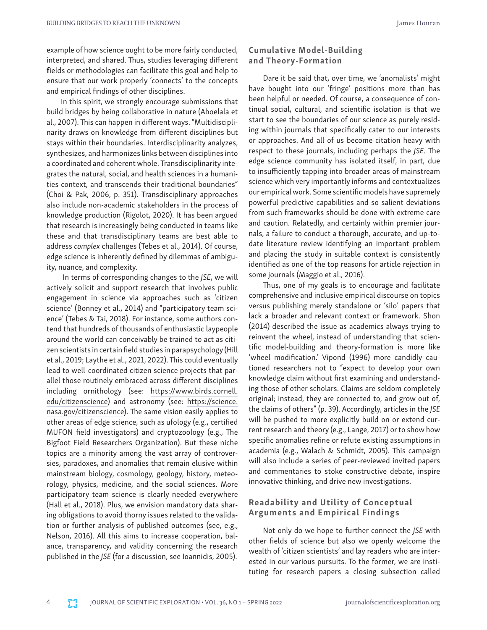example of how science ought to be more fairly conducted, interpreted, and shared. Thus, studies leveraging different fields or methodologies can facilitate this goal and help to ensure that our work properly 'connects' to the concepts and empirical findings of other disciplines.

In this spirit, we strongly encourage submissions that build bridges by being collaborative in nature (Aboelala et al., 2007). This can happen in different ways. "Multidisciplinarity draws on knowledge from different disciplines but stays within their boundaries. Interdisciplinarity analyzes, synthesizes, and harmonizes links between disciplines into a coordinated and coherent whole. Transdisciplinarity integrates the natural, social, and health sciences in a humanities context, and transcends their traditional boundaries" (Choi & Pak, 2006, p. 351). Transdisciplinary approaches also include non-academic stakeholders in the process of knowledge production (Rigolot, 2020). It has been argued that research is increasingly being conducted in teams like these and that transdisciplinary teams are best able to address *complex* challenges (Tebes et al., 2014). Of course, edge science is inherently defined by dilemmas of ambiguity, nuance, and complexity.

 In terms of corresponding changes to the *JSE*, we will actively solicit and support research that involves public engagement in science via approaches such as 'citizen science' (Bonney et al., 2014) and "participatory team science' (Tebes & Tai, 2018). For instance, some authors contend that hundreds of thousands of enthusiastic laypeople around the world can conceivably be trained to act as citizen scientists in certain field studies in parapsychology (Hill et al., 2019; Laythe et al., 2021, 2022). This could eventually lead to well-coordinated citizen science projects that parallel those routinely embraced across different disciplines including ornithology (see: [https://www.birds.cornell.](https://www.birds.cornell.edu/citizenscience) [edu/citizenscience](https://www.birds.cornell.edu/citizenscience)) and astronomy (see: [https://science.](https://science.nasa.gov/citizenscience) [nasa.gov/citizenscience\)](https://science.nasa.gov/citizenscience). The same vision easily applies to other areas of edge science, such as ufology (e.g., certified MUFON field investigators) and cryptozoology (e.g., The Bigfoot Field Researchers Organization). But these niche topics are a minority among the vast array of controversies, paradoxes, and anomalies that remain elusive within mainstream biology, cosmology, geology, history, meteorology, physics, medicine, and the social sciences. More participatory team science is clearly needed everywhere (Hall et al., 2018). Plus, we envision mandatory data sharing obligations to avoid thorny issues related to the validation or further analysis of published outcomes (see, e.g., Nelson, 2016). All this aims to increase cooperation, balance, transparency, and validity concerning the research published in the *JSE* (for a discussion, see Ioannidis, 2005).

#### Cumulative Model-Building and Theory-Formation

Dare it be said that, over time, we 'anomalists' might have bought into our 'fringe' positions more than has been helpful or needed. Of course, a consequence of continual social, cultural, and scientific isolation is that we start to see the boundaries of our science as purely residing within journals that specifically cater to our interests or approaches. And all of us become citation heavy with respect to these journals, including perhaps the *JSE*. The edge science community has isolated itself, in part, due to insufficiently tapping into broader areas of mainstream science which very importantly informs and contextualizes our empirical work. Some scientific models have supremely powerful predictive capabilities and so salient deviations from such frameworks should be done with extreme care and caution. Relatedly, and certainly within premier journals, a failure to conduct a thorough, accurate, and up-todate literature review identifying an important problem and placing the study in suitable context is consistently identified as one of the top reasons for article rejection in some journals (Maggio et al., 2016).

Thus, one of my goals is to encourage and facilitate comprehensive and inclusive empirical discourse on topics versus publishing merely standalone or 'silo' papers that lack a broader and relevant context or framework. Shon (2014) described the issue as academics always trying to reinvent the wheel, instead of understanding that scientific model-building and theory-formation is more like 'wheel modification.' Vipond (1996) more candidly cautioned researchers not to "expect to develop your own knowledge claim without first examining and understanding those of other scholars. Claims are seldom completely original; instead, they are connected to, and grow out of, the claims of others" (p. 39). Accordingly, articles in the *JSE* will be pushed to more explicitly build on or extend current research and theory (e.g., Lange, 2017) or to show how specific anomalies refine or refute existing assumptions in academia (e.g., Walach & Schmidt, 2005). This campaign will also include a series of peer-reviewed invited papers and commentaries to stoke constructive debate, inspire innovative thinking, and drive new investigations.

#### Readability and Utility of Conceptual Arguments and Empirical Findings

Not only do we hope to further connect the *JSE* with other fields of science but also we openly welcome the wealth of 'citizen scientists' and lay readers who are interested in our various pursuits. To the former, we are instituting for research papers a closing subsection called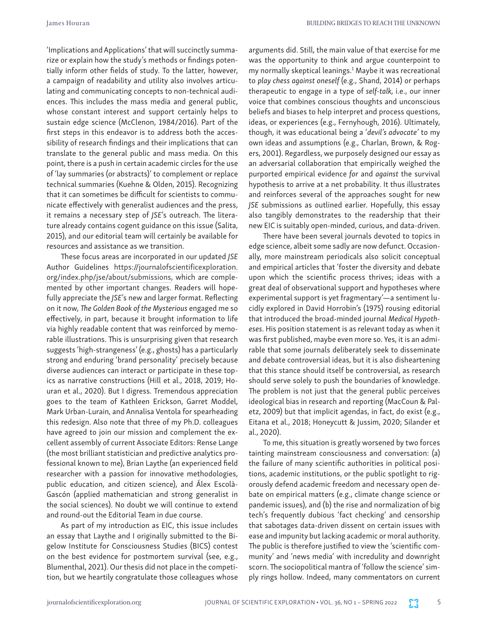'Implications and Applications' that will succinctly summarize or explain how the study's methods or findings potentially inform other fields of study. To the latter, however, a campaign of readability and utility also involves articulating and communicating concepts to non-technical audiences. This includes the mass media and general public, whose constant interest and support certainly helps to sustain edge science (McClenon, 1984/2016). Part of the first steps in this endeavor is to address both the accessibility of research findings and their implications that can translate to the general public and mass media. On this point, there is a push in certain academic circles for the use of 'lay summaries (or abstracts)' to complement or replace technical summaries (Kuehne & Olden, 2015). Recognizing that it can sometimes be difficult for scientists to communicate effectively with generalist audiences and the press, it remains a necessary step of *JSE*'s outreach. The literature already contains cogent guidance on this issue (Salita, 2015), and our editorial team will certainly be available for resources and assistance as we transition.

These focus areas are incorporated in our updated *JSE* Author Guidelines [https://journalofscientificexploration.](https://www.scientificexploration.org/docs/JSE_Ethics_Policy.pdf) [org/index.php/jse/about/submissions](https://www.scientificexploration.org/docs/JSE_Ethics_Policy.pdf), which are complemented by other important changes. Readers will hopefully appreciate the *JSE*'s new and larger format. Reflecting on it now, *The Golden Book of the Mysterious* engaged me so effectively, in part, because it brought information to life via highly readable content that was reinforced by memorable illustrations. This is unsurprising given that research suggests 'high-strangeness' (e.g., ghosts) has a particularly strong and enduring 'brand personality' precisely because diverse audiences can interact or participate in these topics as narrative constructions (Hill et al., 2018, 2019; Houran et al., 2020). But I digress. Tremendous appreciation goes to the team of Kathleen Erickson, Garret Moddel, Mark Urban-Lurain, and Annalisa Ventola for spearheading this redesign. Also note that three of my Ph.D. colleagues have agreed to join our mission and complement the excellent assembly of current Associate Editors: Rense Lange (the most brilliant statistician and predictive analytics professional known to me), Brian Laythe (an experienced field researcher with a passion for innovative methodologies, public education, and citizen science), and Álex Escolà-Gascón (applied mathematician and strong generalist in the social sciences). No doubt we will continue to extend and round-out the Editorial Team in due course.

As part of my introduction as EIC, this issue includes an essay that Laythe and I originally submitted to the Bigelow Institute for Consciousness Studies (BICS) contest on the best evidence for postmortem survival (see, e.g., Blumenthal, 2021). Our thesis did not place in the competition, but we heartily congratulate those colleagues whose arguments did. Still, the main value of that exercise for me was the opportunity to think and argue counterpoint to my normally skeptical leanings.1 Maybe it was recreational to *play chess against oneself* (e.g., Shand, 2014) or perhaps therapeutic to engage in a type of *self-talk,* i.e., our inner voice that combines conscious thoughts and unconscious beliefs and biases to help interpret and process questions, ideas, or experiences (e.g., Fernyhough, 2016). Ultimately, though, it was educational being a '*devil's advocate'* to my own ideas and assumptions (e.g., Charlan, Brown, & Rogers, 2001). Regardless, we purposely designed our essay as an adversarial collaboration that empirically weighed the purported empirical evidence *for* and *against* the survival hypothesis to arrive at a net probability. It thus illustrates and reinforces several of the approaches sought for new *JSE* submissions as outlined earlier. Hopefully, this essay also tangibly demonstrates to the readership that their new EIC is suitably open-minded, curious, and data-driven.

There have been several journals devoted to topics in edge science, albeit some sadly are now defunct. Occasionally, more mainstream periodicals also solicit conceptual and empirical articles that 'foster the diversity and debate upon which the scientific process thrives; ideas with a great deal of observational support and hypotheses where experimental support is yet fragmentary'—a sentiment lucidly explored in David Horrobin's (1975) rousing editorial that introduced the broad-minded journal *Medical Hypotheses*. His position statement is as relevant today as when it was first published, maybe even more so. Yes, it is an admirable that some journals deliberately seek to disseminate and debate controversial ideas, but it is also disheartening that this stance should itself be controversial, as research should serve solely to push the boundaries of knowledge. The problem is not just that the general public perceives ideological bias in research and reporting (MacCoun & Paletz, 2009) but that implicit agendas, in fact, do exist (e.g., Eitana et al., 2018; Honeycutt & Jussim, 2020; Silander et al., 2020).

To me, this situation is greatly worsened by two forces tainting mainstream consciousness and conversation: (a) the failure of many scientific authorities in political positions, academic institutions, or the public spotlight to rigorously defend academic freedom and necessary open debate on empirical matters (e.g., climate change science or pandemic issues), and (b) the rise and normalization of big tech's frequently dubious 'fact checking' and censorship that sabotages data-driven dissent on certain issues with ease and impunity but lacking academic or moral authority. The public is therefore justified to view the 'scientific community' and 'news media' with incredulity and downright scorn. The sociopolitical mantra of 'follow the science' simply rings hollow. Indeed, many commentators on current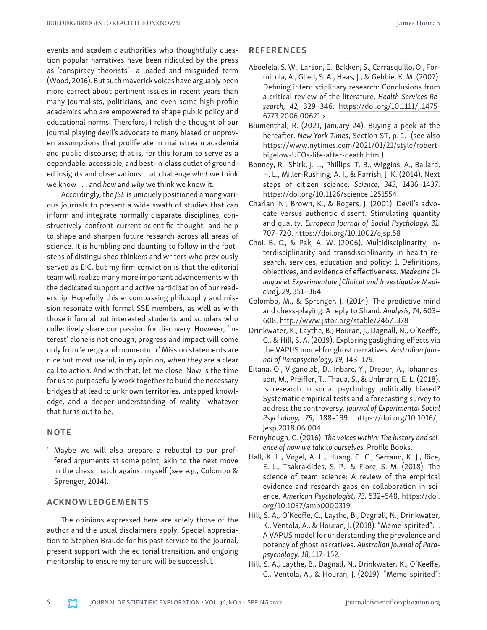events and academic authorities who thoughtfully question popular narratives have been ridiculed by the press as 'conspiracy theorists'—a loaded and misguided term (Wood, 2016). But such maverick voices have arguably been more correct about pertinent issues in recent years than many journalists, politicians, and even some high-profile academics who are empowered to shape public policy and educational norms. Therefore, I relish the thought of our journal playing devil's advocate to many biased or unproven assumptions that proliferate in mainstream academia and public discourse; that is, for this forum to serve as a dependable, accessible, and best-in-class outlet of grounded insights and observations that challenge *what* we think we know . . . and *how* and *why* we think we know it.

Accordingly, the *JSE* is uniquely positioned among various journals to present a wide swath of studies that can inform and integrate normally disparate disciplines, constructively confront current scientific thought, and help to shape and sharpen future research across all areas of science. It is humbling and daunting to follow in the footsteps of distinguished thinkers and writers who previously served as EIC, but my firm conviction is that the editorial team will realize many more important advancements with the dedicated support and active participation of our readership. Hopefully this encompassing philosophy and mission resonate with formal SSE members, as well as with those informal but interested students and scholars who collectively share our passion for discovery. However, 'interest' alone is not enough; progress and impact will come only from 'energy and momentum.' Mission statements are nice but most useful, in my opinion, when they are a clear call to action. And with that, let me close. Now is the time for us to purposefully work together to build the necessary bridges that lead to unknown territories, untapped knowledge, and a deeper understanding of reality—whatever that turns out to be.

#### **NOTE**

<sup>1</sup> Maybe we will also prepare a rebuttal to our proffered arguments at some point, akin to the next move in the chess match against myself (see e.g., Colombo & Sprenger, 2014).

#### ACKNOWLEDGEMENTS

The opinions expressed here are solely those of the author and the usual disclaimers apply. Special appreciation to Stephen Braude for his past service to the Journal, present support with the editorial transition, and ongoing mentorship to ensure my tenure will be successful.

#### REFERENCES

- Aboelela, S. W., Larson, E., Bakken, S., Carrasquillo, O., Formicola, A., Glied, S. A., Haas, J., & Gebbie, K. M. (2007). Defining interdisciplinary research: Conclusions from a critical review of the literature. *Health Services Research, 42,* 329–346. [https://doi.org/10.1111/j.1475-](https://doi.org/10.1111/j.1475-6773.2006.00621.x) [6773.2006.00621.x](https://doi.org/10.1111/j.1475-6773.2006.00621.x)
- Blumenthal, R. (2021, January 24). Buying a peek at the hereafter. *New York Times*, Section ST, p. 1. (see also [https://www.nytimes.com/2021/01/21/style/robert](https://www.nytimes.com/2021/01/21/style/robert-bigelow-UFOs-life-after-death.html)[bigelow-UFOs-life-after-death.html](https://www.nytimes.com/2021/01/21/style/robert-bigelow-UFOs-life-after-death.html))
- Bonney, R., Shirk, J. L., Phillips, T. B., Wiggins, A., Ballard, H. L., Miller-Rushing, A. J., & Parrish, J. K. (2014). Next steps of citizen science. *Science*, *343*, 1436–1437. <https://doi.org/10.1126/science.1251554>
- Charlan, N., Brown, K., & Rogers, J. (2001). Devil's advocate versus authentic dissent: Stimulating quantity and quality. *European Journal of Social Psychology, 31,*  707–720. <https://doi.org/10.1002/ejsp.58>
- Choi, B. C., & Pak, A. W. (2006). Multidisciplinarity, interdisciplinarity and transdisciplinarity in health research, services, education and policy: 1. Definitions, objectives, and evidence of effectiveness. *Medecine Clinique et Experimentale [Clinical and Investigative Medicine], 29,* 351–364.
- Colombo, M., & Sprenger, J. (2014). The predictive mind and chess-playing: A reply to Shand. *Analysis, 74,* 603– 608. <http://www.jstor.org/stable/24671378>
- Drinkwater, K., Laythe, B., Houran, J., Dagnall, N., O'Keeffe, C., & Hill, S. A. (2019). Exploring gaslighting effects via the VAPUS model for ghost narratives. *Australian Journal of Parapsychology, 19,* 143–179.
- Eitana, O., Viganolab, D., Inbarc, Y., Dreber, A., Johannesson, M., Pfeiffer, T., Thaua, S., & Uhlmann, E. L. (2018). Is research in social psychology politically biased? Systematic empirical tests and a forecasting survey to address the controversy. *Journal of Experimental Social Psychology, 79,* 188–199*.* [https://doi.org/10.1016/j.](https://doi.org/10.1016/j.jesp.2018.06.004) [jesp.2018.06.004](https://doi.org/10.1016/j.jesp.2018.06.004)
- Fernyhough, C. (2016). *The voices within: The history and science of how we talk to ourselves.* Profile Books.
- Hall, K. L., Vogel, A. L., Huang, G. C., Serrano, K. J., Rice, E. L., Tsakraklides, S. P., & Fiore, S. M. (2018). The science of team science: A review of the empirical evidence and research gaps on collaboration in science. *American Psychologist, 73,* 532–548. [https://doi.](https://doi.org/10.1037/amp0000319) [org/10.1037/amp0000319](https://doi.org/10.1037/amp0000319)
- Hill, S. A., O'Keeffe, C., Laythe, B., Dagnall, N., Drinkwater, K., Ventola, A., & Houran, J. (2018). "Meme-spirited": I. A VAPUS model for understanding the prevalence and potency of ghost narratives. *Australian Journal of Parapsychology, 18,* 117–152.
- Hill, S. A., Laythe, B., Dagnall, N., Drinkwater, K., O'Keeffe, C., Ventola, A., & Houran, J. (2019). "Meme-spirited":